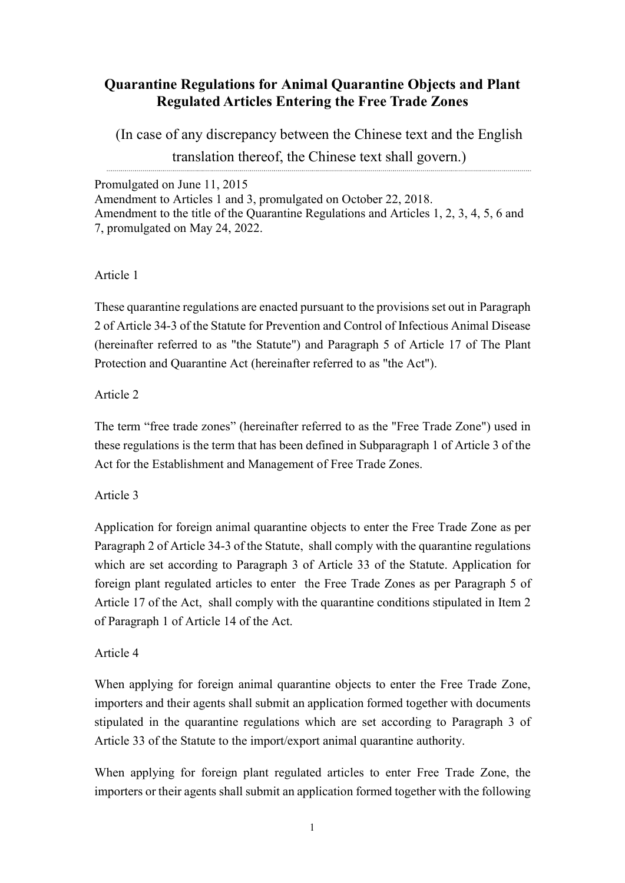# Quarantine Regulations for Animal Quarantine Objects and Plant Regulated Articles Entering the Free Trade Zones

(In case of any discrepancy between the Chinese text and the English translation thereof, the Chinese text shall govern.)

Promulgated on June 11, 2015 Amendment to Articles 1 and 3, promulgated on October 22, 2018. Amendment to the title of the Quarantine Regulations and Articles 1, 2, 3, 4, 5, 6 and 7, promulgated on May 24, 2022.

### Article 1

These quarantine regulations are enacted pursuant to the provisions set out in Paragraph 2 of Article 34-3 of the Statute for Prevention and Control of Infectious Animal Disease (hereinafter referred to as "the Statute") and Paragraph 5 of Article 17 of The Plant Protection and Quarantine Act (hereinafter referred to as "the Act").

## Article 2

The term "free trade zones" (hereinafter referred to as the "Free Trade Zone") used in these regulations is the term that has been defined in Subparagraph 1 of Article 3 of the Act for the Establishment and Management of Free Trade Zones.

### Article 3

Application for foreign animal quarantine objects to enter the Free Trade Zone as per Paragraph 2 of Article 34-3 of the Statute, shall comply with the quarantine regulations which are set according to Paragraph 3 of Article 33 of the Statute. Application for foreign plant regulated articles to enter the Free Trade Zones as per Paragraph 5 of Article 17 of the Act, shall comply with the quarantine conditions stipulated in Item 2 of Paragraph 1 of Article 14 of the Act.

### Article 4

When applying for foreign animal quarantine objects to enter the Free Trade Zone, importers and their agents shall submit an application formed together with documents stipulated in the quarantine regulations which are set according to Paragraph 3 of Article 33 of the Statute to the import/export animal quarantine authority.

When applying for foreign plant regulated articles to enter Free Trade Zone, the importers or their agents shall submit an application formed together with the following